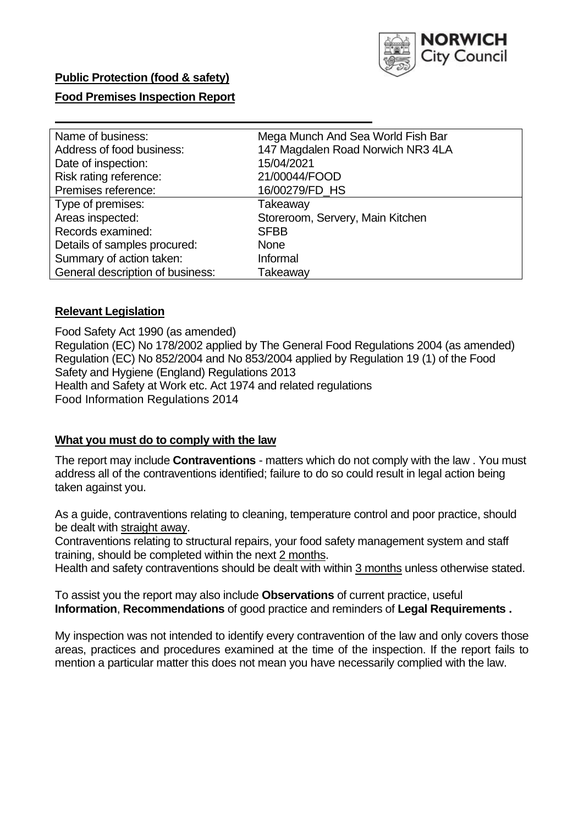

### **Food Premises Inspection Report**

| Name of business:                | Mega Munch And Sea World Fish Bar |  |  |  |
|----------------------------------|-----------------------------------|--|--|--|
| Address of food business:        | 147 Magdalen Road Norwich NR3 4LA |  |  |  |
| Date of inspection:              | 15/04/2021                        |  |  |  |
| Risk rating reference:           | 21/00044/FOOD                     |  |  |  |
| Premises reference:              | 16/00279/FD HS                    |  |  |  |
| Type of premises:                | Takeaway                          |  |  |  |
| Areas inspected:                 | Storeroom, Servery, Main Kitchen  |  |  |  |
| Records examined:                | <b>SFBB</b>                       |  |  |  |
| Details of samples procured:     | <b>None</b>                       |  |  |  |
| Summary of action taken:         | Informal                          |  |  |  |
| General description of business: | Takeaway                          |  |  |  |

#### **Relevant Legislation**

 Food Safety Act 1990 (as amended) Regulation (EC) No 178/2002 applied by The General Food Regulations 2004 (as amended) Regulation (EC) No 852/2004 and No 853/2004 applied by Regulation 19 (1) of the Food Safety and Hygiene (England) Regulations 2013 Health and Safety at Work etc. Act 1974 and related regulations Food Information Regulations 2014

#### **What you must do to comply with the law**

 The report may include **Contraventions** - matters which do not comply with the law . You must address all of the contraventions identified; failure to do so could result in legal action being taken against you.

 As a guide, contraventions relating to cleaning, temperature control and poor practice, should be dealt with straight away.

 Contraventions relating to structural repairs, your food safety management system and staff training, should be completed within the next 2 months.

Health and safety contraventions should be dealt with within 3 months unless otherwise stated.

 To assist you the report may also include **Observations** of current practice, useful **Information**, **Recommendations** of good practice and reminders of **Legal Requirements .** 

 My inspection was not intended to identify every contravention of the law and only covers those areas, practices and procedures examined at the time of the inspection. If the report fails to mention a particular matter this does not mean you have necessarily complied with the law.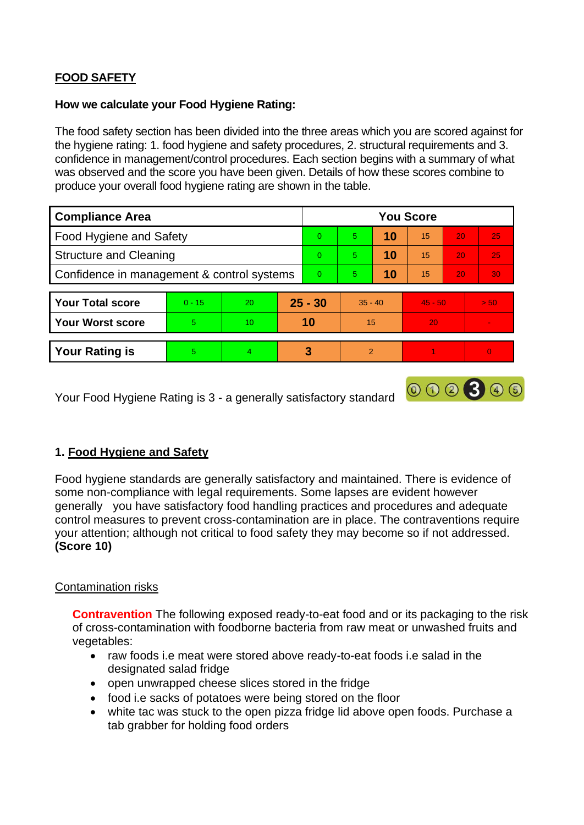# **FOOD SAFETY**

#### **How we calculate your Food Hygiene Rating:**

 The food safety section has been divided into the three areas which you are scored against for the hygiene rating: 1. food hygiene and safety procedures, 2. structural requirements and 3. confidence in management/control procedures. Each section begins with a summary of what was observed and the score you have been given. Details of how these scores combine to produce your overall food hygiene rating are shown in the table.

| <b>Compliance Area</b>                     |          |                |           | <b>You Score</b> |                |    |           |                 |          |  |  |
|--------------------------------------------|----------|----------------|-----------|------------------|----------------|----|-----------|-----------------|----------|--|--|
| Food Hygiene and Safety                    |          |                |           | $\Omega$         | 5              | 10 | 15        | 20              | 25       |  |  |
| <b>Structure and Cleaning</b>              |          |                | $\Omega$  | $5^{\circ}$      | 10             | 15 | 20        | 25              |          |  |  |
| Confidence in management & control systems |          |                | $\Omega$  | 5                | 10             | 15 | 20        | 30 <sup>°</sup> |          |  |  |
|                                            |          |                |           |                  |                |    |           |                 |          |  |  |
| <b>Your Total score</b>                    | $0 - 15$ | 20             | $25 - 30$ |                  | $35 - 40$      |    | $45 - 50$ |                 | > 50     |  |  |
| <b>Your Worst score</b>                    | 5.       | 10             | 10        |                  | 15             |    | 20        |                 | ۰        |  |  |
|                                            |          |                |           |                  |                |    |           |                 |          |  |  |
| <b>Your Rating is</b>                      | 5        | $\overline{4}$ |           | 3                | $\overline{2}$ |    |           |                 | $\Omega$ |  |  |

Your Food Hygiene Rating is 3 - a generally satisfactory standard

# **1. Food Hygiene and Safety**

 generally you have satisfactory food handling practices and procedures and adequate Food hygiene standards are generally satisfactory and maintained. There is evidence of some non-compliance with legal requirements. Some lapses are evident however control measures to prevent cross-contamination are in place. The contraventions require your attention; although not critical to food safety they may become so if not addressed. **(Score 10)** 

000300

### Contamination risks

**Contravention** The following exposed ready-to-eat food and or its packaging to the risk of cross-contamination with foodborne bacteria from raw meat or unwashed fruits and vegetables:

- raw foods i.e meat were stored above ready-to-eat foods i.e salad in the designated salad fridge
- open unwrapped cheese slices stored in the fridge
- food i.e sacks of potatoes were being stored on the floor
- • white tac was stuck to the open pizza fridge lid above open foods. Purchase a tab grabber for holding food orders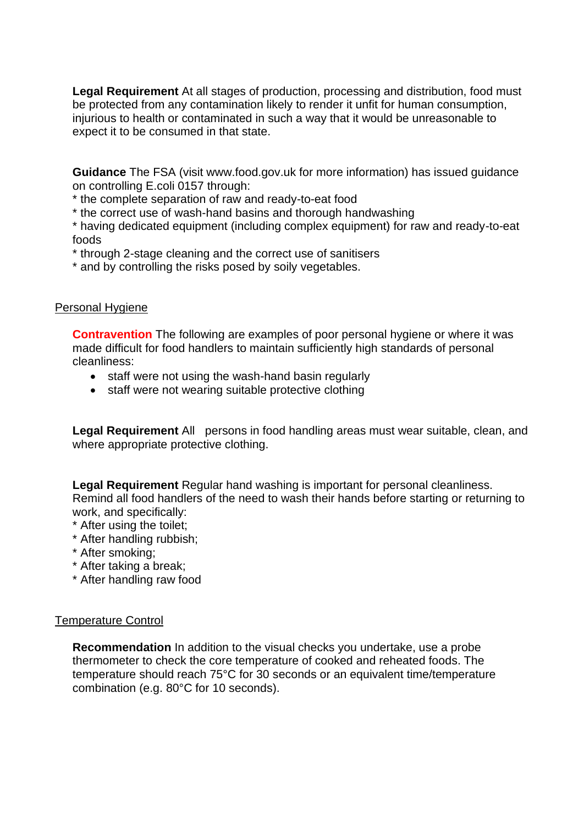injurious to health or contaminated in such a way that it would be unreasonable to **Legal Requirement** At all stages of production, processing and distribution, food must be protected from any contamination likely to render it unfit for human consumption, expect it to be consumed in that state.

 **Guidance** The FSA (visit <www.food.gov.uk> for more information) has issued guidance on controlling E.coli 0157 through:

\* the complete separation of raw and ready-to-eat food

\* the correct use of wash-hand basins and thorough handwashing

\* having dedicated equipment (including complex equipment) for raw and ready-to-eat foods

\* through 2-stage cleaning and the correct use of sanitisers

\* and by controlling the risks posed by soily vegetables.

### Personal Hygiene

 made difficult for food handlers to maintain sufficiently high standards of personal **Contravention** The following are examples of poor personal hygiene or where it was cleanliness:

- staff were not using the wash-hand basin regularly
- staff were not wearing suitable protective clothing

 **Legal Requirement** All persons in food handling areas must wear suitable, clean, and where appropriate protective clothing.

**Legal Requirement** Regular hand washing is important for personal cleanliness. Remind all food handlers of the need to wash their hands before starting or returning to work, and specifically:

- \* After using the toilet;
- \* After handling rubbish;
- \* After smoking;
- \* After taking a break;
- \* After handling raw food

### Temperature Control

**Recommendation** In addition to the visual checks you undertake, use a probe thermometer to check the core temperature of cooked and reheated foods. The temperature should reach 75°C for 30 seconds or an equivalent time/temperature combination (e.g. 80°C for 10 seconds).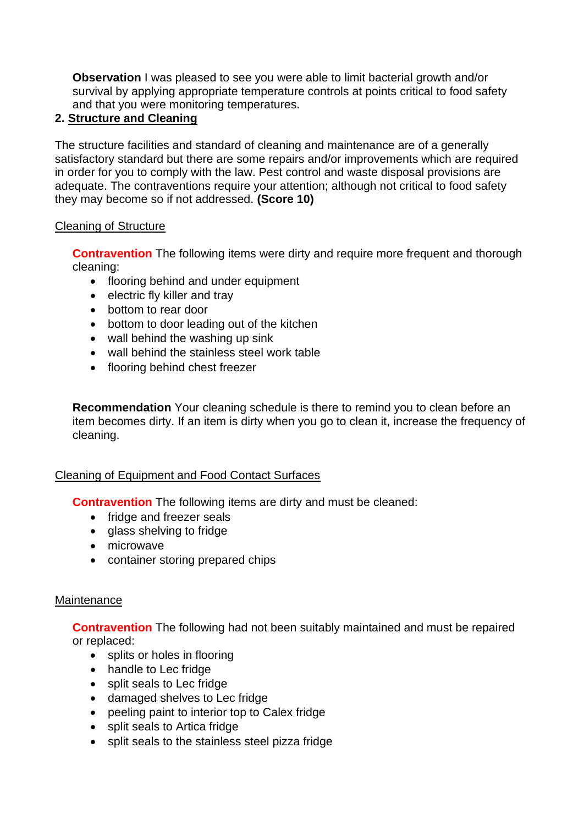**Observation** I was pleased to see you were able to limit bacterial growth and/or survival by applying appropriate temperature controls at points critical to food safety and that you were monitoring temperatures.

# **2. Structure and Cleaning**

The structure facilities and standard of cleaning and maintenance are of a generally satisfactory standard but there are some repairs and/or improvements which are required in order for you to comply with the law. Pest control and waste disposal provisions are adequate. The contraventions require your attention; although not critical to food safety they may become so if not addressed. **(Score 10)** 

# Cleaning of Structure

**Contravention** The following items were dirty and require more frequent and thorough cleaning:

- flooring behind and under equipment
- electric fly killer and tray
- bottom to rear door
- bottom to door leading out of the kitchen
- wall behind the washing up sink
- wall behind the stainless steel work table
- flooring behind chest freezer

 **Recommendation** Your cleaning schedule is there to remind you to clean before an item becomes dirty. If an item is dirty when you go to clean it, increase the frequency of cleaning.

# Cleaning of Equipment and Food Contact Surfaces

**Contravention** The following items are dirty and must be cleaned:

- fridge and freezer seals
- glass shelving to fridge
- microwave
- container storing prepared chips

# **Maintenance**

**Contravention** The following had not been suitably maintained and must be repaired or replaced:

- splits or holes in flooring
- handle to Lec fridge
- split seals to Lec fridge
- damaged shelves to Lec fridge
- peeling paint to interior top to Calex fridge
- split seals to Artica fridge
- split seals to the stainless steel pizza fridge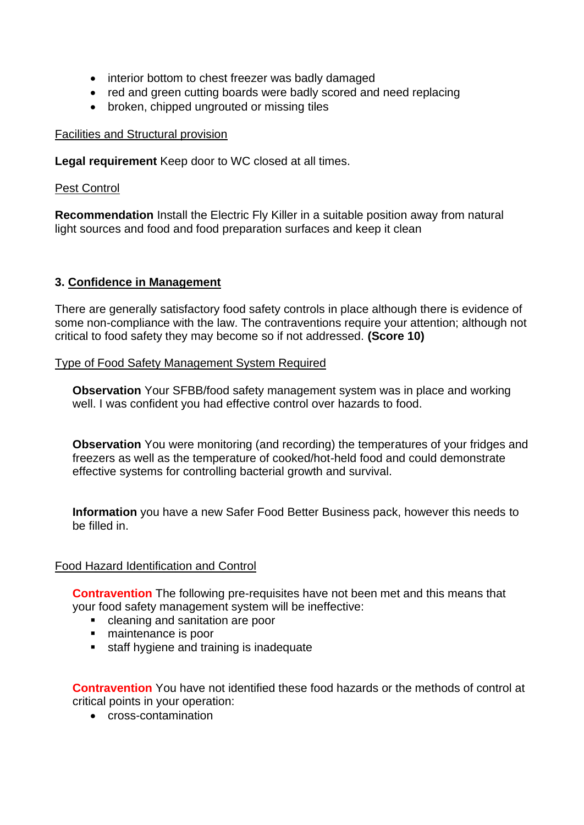- interior bottom to chest freezer was badly damaged
- red and green cutting boards were badly scored and need replacing
- broken, chipped ungrouted or missing tiles

#### Facilities and Structural provision

**Legal requirement** Keep door to WC closed at all times.

#### Pest Control

**Recommendation** Install the Electric Fly Killer in a suitable position away from natural light sources and food and food preparation surfaces and keep it clean

### **3. Confidence in Management**

 There are generally satisfactory food safety controls in place although there is evidence of some non-compliance with the law. The contraventions require your attention; although not critical to food safety they may become so if not addressed. **(Score 10)** 

Type of Food Safety Management System Required

**Observation** Your SFBB/food safety management system was in place and working well. I was confident you had effective control over hazards to food.

**Observation** You were monitoring (and recording) the temperatures of your fridges and freezers as well as the temperature of cooked/hot-held food and could demonstrate effective systems for controlling bacterial growth and survival.

 **Information** you have a new Safer Food Better Business pack, however this needs to be filled in.

### Food Hazard Identification and Control

**Contravention** The following pre-requisites have not been met and this means that your food safety management system will be ineffective:

- cleaning and sanitation are poor
- maintenance is poor
- **EXTE:** staff hygiene and training is inadequate

**Contravention** You have not identified these food hazards or the methods of control at critical points in your operation:

• cross-contamination